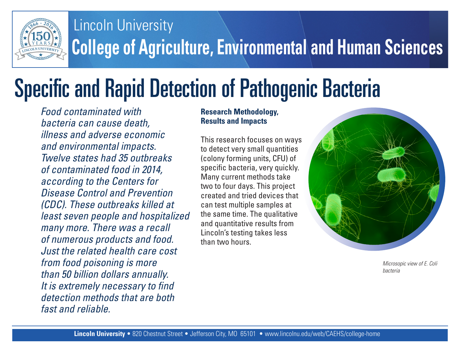

## **College of Agriculture, Environmental and Human Sciences** Lincoln University

# Specific and Rapid Detection of Pathogenic Bacteria

*Food contaminated with bacteria can cause death, illness and adverse economic and environmental impacts. Twelve states had 35 outbreaks of contaminated food in 2014, according to the Centers for Disease Control and Prevention (CDC). These outbreaks killed at least seven people and hospitalized many more. There was a recall of numerous products and food. Just the related health care cost from food poisoning is more than 50 billion dollars annually. It is extremely necessary to find detection methods that are both fast and reliable.*

#### **Research Methodology, Results and Impacts**

This research focuses on ways to detect very small quantities (colony forming units, CFU) of specific bacteria, very quickly. Many current methods take two to four days. This project created and tried devices that can test multiple samples at the same time. The qualitative and quantitative results from Lincoln's testing takes less than two hours.



*Microsopic view of E. Coli bacteria*